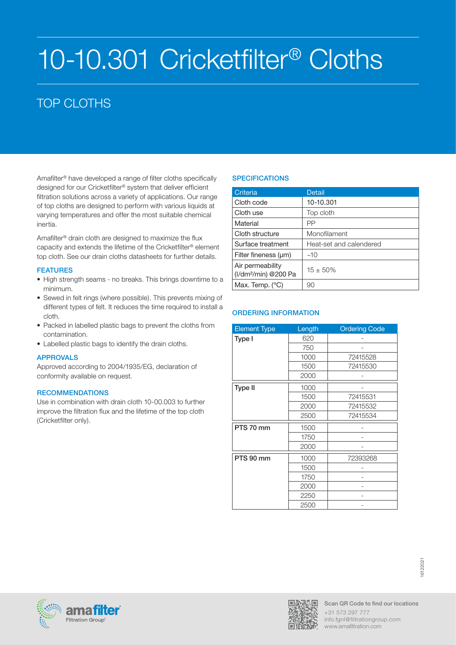# 10-10.301 Cricketfilter® Cloths

# TOP CLOTHS

Amafilter® have developed a range of filter cloths specifically designed for our Cricketfilter® system that deliver efficient filtration solutions across a variety of applications. Our range of top cloths are designed to perform with various liquids at varying temperatures and offer the most suitable chemical inertia.

Amafilter® drain cloth are designed to maximize the flux capacity and extends the lifetime of the Cricketfilter® element top cloth. See our drain cloths datasheets for further details.

# FEATURES

- High strength seams no breaks. This brings downtime to a minimum.
- Sewed in felt rings (where possible). This prevents mixing of different types of felt. It reduces the time required to install a cloth.
- Packed in labelled plastic bags to prevent the cloths from contamination.
- Labelled plastic bags to identify the drain cloths.

# APPROVALS

Approved according to 2004/1935/EG, declaration of conformity available on request.

# **RECOMMENDATIONS**

Use in combination with drain cloth 10-00.003 to further improve the filtration flux and the lifetime of the top cloth (Cricketfilter only).

# **SPECIFICATIONS**

| Criteria                                             | <b>Detail</b>           |
|------------------------------------------------------|-------------------------|
| Cloth code                                           | 10-10.301               |
| Cloth use                                            | Top cloth               |
| Material                                             | PP                      |
| Cloth structure                                      | Monofilament            |
| Surface treatment                                    | Heat-set and calendered |
| Filter fineness (um)                                 | ~10                     |
| Air permeability<br>(I/dm <sup>2</sup> /min) @200 Pa | $15 \pm 50\%$           |
| Max. Temp. $(^{\circ}C)$                             | 90                      |

| <b>Element Type</b> | Length | <b>Ordering Code</b> |
|---------------------|--------|----------------------|
| Type I              | 620    |                      |
|                     | 750    |                      |
|                     | 1000   | 72415528             |
|                     | 1500   | 72415530             |
|                     | 2000   |                      |
| <b>Type II</b>      | 1000   |                      |
|                     | 1500   | 72415531             |
|                     | 2000   | 72415532             |
|                     | 2500   | 72415534             |
| PTS 70 mm           | 1500   |                      |
|                     | 1750   |                      |
|                     | 2000   |                      |
| PTS 90 mm           | 1000   | 72393268             |
|                     | 1500   |                      |
|                     | 1750   |                      |
|                     | 2000   |                      |
|                     | 2250   |                      |
|                     | 2500   |                      |





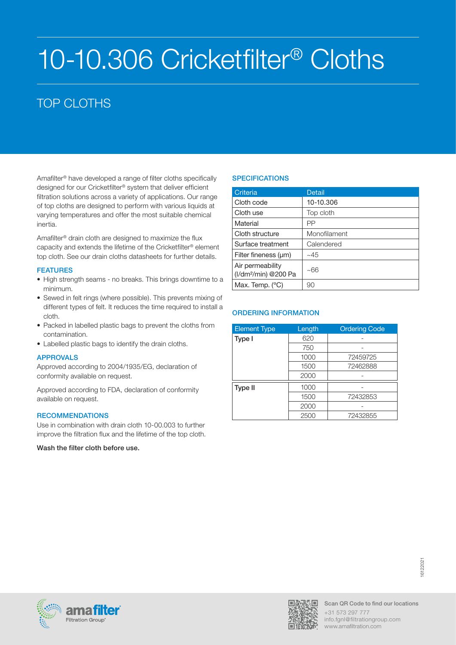# 10-10.306 Cricketfilter® Cloths

# TOP CLOTHS

Amafilter® have developed a range of filter cloths specifically designed for our Cricketfilter® system that deliver efficient filtration solutions across a variety of applications. Our range of top cloths are designed to perform with various liquids at varying temperatures and offer the most suitable chemical inertia.

Amafilter® drain cloth are designed to maximize the flux capacity and extends the lifetime of the Cricketfilter® element top cloth. See our drain cloths datasheets for further details.

### FEATURES

- High strength seams no breaks. This brings downtime to a minimum.
- Sewed in felt rings (where possible). This prevents mixing of different types of felt. It reduces the time required to install a cloth.
- Packed in labelled plastic bags to prevent the cloths from contamination.
- Labelled plastic bags to identify the drain cloths.

# APPROVALS

Approved according to 2004/1935/EG, declaration of conformity available on request.

Approved according to FDA, declaration of conformity available on request.

#### **RECOMMENDATIONS**

Use in combination with drain cloth 10-00.003 to further improve the filtration flux and the lifetime of the top cloth.

Wash the filter cloth before use.

# **SPECIFICATIONS**

| Criteria                                             | <b>Detail</b> |
|------------------------------------------------------|---------------|
| Cloth code                                           | 10-10.306     |
| Cloth use                                            | Top cloth     |
| Material                                             | PP            |
| Cloth structure                                      | Monofilament  |
| Surface treatment                                    | Calendered    |
| Filter fineness (um)                                 | ~1.45         |
| Air permeability<br>(I/dm <sup>2</sup> /min) @200 Pa | ~66           |
| Max. Temp. $(^{\circ}C)$                             | 90            |

| <b>Element Type</b> | Length | <b>Ordering Code</b> |
|---------------------|--------|----------------------|
| Type I              | 620    |                      |
|                     | 750    |                      |
|                     | 1000   | 72459725             |
|                     | 1500   | 72462888             |
|                     | 2000   |                      |
| Type II             | 1000   |                      |
|                     | 1500   | 72432853             |
|                     | 2000   |                      |
|                     | 2500   | 72432855             |



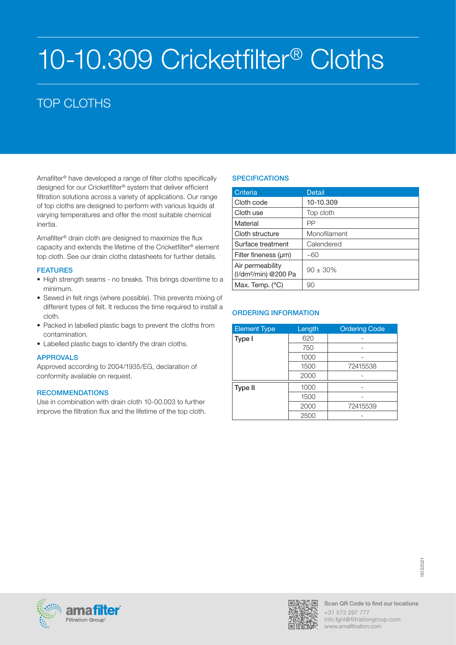# 10-10.309 Cricketfilter® Cloths

# TOP CLOTHS

Amafilter® have developed a range of filter cloths specifically designed for our Cricketfilter® system that deliver efficient filtration solutions across a variety of applications. Our range of top cloths are designed to perform with various liquids at varying temperatures and offer the most suitable chemical inertia.

Amafilter® drain cloth are designed to maximize the flux capacity and extends the lifetime of the Cricketfilter® element top cloth. See our drain cloths datasheets for further details.

### FEATURES

- High strength seams no breaks. This brings downtime to a minimum.
- Sewed in felt rings (where possible). This prevents mixing of different types of felt. It reduces the time required to install a cloth.
- Packed in labelled plastic bags to prevent the cloths from contamination.
- Labelled plastic bags to identify the drain cloths.

# APPROVALS

Approved according to 2004/1935/EG, declaration of conformity available on request.

#### **RECOMMENDATIONS**

Use in combination with drain cloth 10-00.003 to further improve the filtration flux and the lifetime of the top cloth.

# **SPECIFICATIONS**

| Criteria                                             | <b>Detail</b> |
|------------------------------------------------------|---------------|
| Cloth code                                           | 10-10.309     |
| Cloth use                                            | Top cloth     |
| Material                                             | PP            |
| Cloth structure                                      | Monofilament  |
| Surface treatment                                    | Calendered    |
| Filter fineness (um)                                 | ~100          |
| Air permeability<br>(I/dm <sup>2</sup> /min) @200 Pa | $90 \pm 30\%$ |
| Max. Temp. $(^{\circ}C)$                             | 90            |

| <b>Element Type</b> | Length | <b>Ordering Code</b> |
|---------------------|--------|----------------------|
| Type I              | 620    |                      |
|                     | 750    |                      |
|                     | 1000   |                      |
|                     | 1500   | 72415538             |
|                     | 2000   |                      |
| <b>Type II</b>      | 1000   |                      |
|                     | 1500   |                      |
|                     | 2000   | 72415539             |
|                     | 2500   |                      |



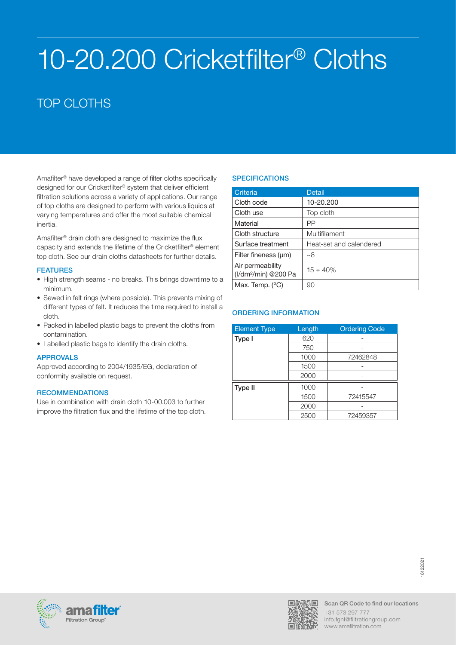# 10-20.200 Cricketfilter® Cloths

# TOP CLOTHS

Amafilter® have developed a range of filter cloths specifically designed for our Cricketfilter® system that deliver efficient filtration solutions across a variety of applications. Our range of top cloths are designed to perform with various liquids at varying temperatures and offer the most suitable chemical inertia.

Amafilter® drain cloth are designed to maximize the flux capacity and extends the lifetime of the Cricketfilter® element top cloth. See our drain cloths datasheets for further details.

### FEATURES

- High strength seams no breaks. This brings downtime to a minimum.
- Sewed in felt rings (where possible). This prevents mixing of different types of felt. It reduces the time required to install a cloth.
- Packed in labelled plastic bags to prevent the cloths from contamination.
- Labelled plastic bags to identify the drain cloths.

# APPROVALS

Approved according to 2004/1935/EG, declaration of conformity available on request.

#### **RECOMMENDATIONS**

Use in combination with drain cloth 10-00.003 to further improve the filtration flux and the lifetime of the top cloth.

# **SPECIFICATIONS**

| Criteria                                             | <b>Detail</b>           |
|------------------------------------------------------|-------------------------|
| Cloth code                                           | 10-20.200               |
| Cloth use                                            | Top cloth               |
| Material                                             | PP                      |
| Cloth structure                                      | Multifilament           |
| Surface treatment                                    | Heat-set and calendered |
| Filter fineness (um)                                 | ~8                      |
| Air permeability<br>(I/dm <sup>2</sup> /min) @200 Pa | $15 \pm 40\%$           |
| Max. Temp. $(^{\circ}C)$                             | 90                      |

| <b>Element Type</b> | Length | <b>Ordering Code</b> |
|---------------------|--------|----------------------|
| Type I              | 620    |                      |
|                     | 750    |                      |
|                     | 1000   | 72462848             |
|                     | 1500   |                      |
|                     | 2000   |                      |
| Type II             | 1000   |                      |
|                     | 1500   | 72415547             |
|                     | 2000   |                      |
|                     | 2500   | 72459357             |



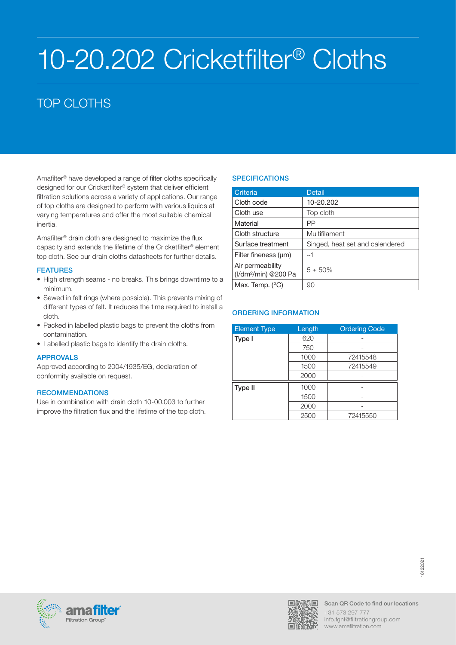# 10-20.202 Cricketfilter® Cloths

# TOP CLOTHS

Amafilter® have developed a range of filter cloths specifically designed for our Cricketfilter® system that deliver efficient filtration solutions across a variety of applications. Our range of top cloths are designed to perform with various liquids at varying temperatures and offer the most suitable chemical inertia.

Amafilter® drain cloth are designed to maximize the flux capacity and extends the lifetime of the Cricketfilter® element top cloth. See our drain cloths datasheets for further details.

### FEATURES

- High strength seams no breaks. This brings downtime to a minimum.
- Sewed in felt rings (where possible). This prevents mixing of different types of felt. It reduces the time required to install a cloth.
- Packed in labelled plastic bags to prevent the cloths from contamination.
- Labelled plastic bags to identify the drain cloths.

# APPROVALS

Approved according to 2004/1935/EG, declaration of conformity available on request.

#### **RECOMMENDATIONS**

Use in combination with drain cloth 10-00.003 to further improve the filtration flux and the lifetime of the top cloth.

# **SPECIFICATIONS**

| Criteria                                             | <b>Detail</b>                   |
|------------------------------------------------------|---------------------------------|
| Cloth code                                           | 10-20.202                       |
| Cloth use                                            | Top cloth                       |
| Material                                             | PP                              |
| Cloth structure                                      | Multifilament                   |
| Surface treatment                                    | Singed, heat set and calendered |
| Filter fineness $(\mu m)$                            | ~1~                             |
| Air permeability<br>(I/dm <sup>2</sup> /min) @200 Pa | $5 + 50\%$                      |
| Max. Temp. $(^{\circ}C)$                             | 90                              |

| <b>Element Type</b> | Length | <b>Ordering Code</b> |
|---------------------|--------|----------------------|
| Type I              | 620    |                      |
|                     | 750    |                      |
|                     | 1000   | 72415548             |
|                     | 1500   | 72415549             |
|                     | 2000   |                      |
| Type II             | 1000   |                      |
|                     | 1500   |                      |
|                     | 2000   |                      |
|                     | 2500   | 72415550             |



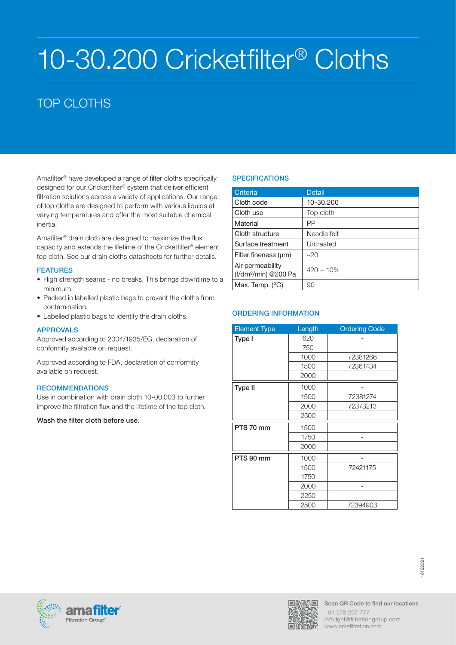# 10-30.200 Cricketfilter® Cloths

# TOP CLOTHS

Amafilter® have developed a range of filter cloths specifically designed for our Cricketfilter® system that deliver efficient filtration solutions across a variety of applications. Our range of top cloths are designed to perform with various liquids at varying temperatures and offer the most suitable chemical inertia.

Amafilter® drain cloth are designed to maximize the flux capacity and extends the lifetime of the Cricketfilter® element top cloth. See our drain cloths datasheets for further details.

### FEATURES

- High strength seams no breaks. This brings downtime to a minimum.
- Packed in labelled plastic bags to prevent the cloths from contamination.
- Labelled plastic bags to identify the drain cloths.

# APPROVALS

Approved according to 2004/1935/EG, declaration of conformity available on request.

Approved according to FDA, declaration of conformity available on request.

#### **RECOMMENDATIONS**

Use in combination with drain cloth 10-00.003 to further improve the filtration flux and the lifetime of the top cloth.

Wash the filter cloth before use.

# **SPECIFICATIONS**

| Criteria                                             | <b>Detail</b>  |
|------------------------------------------------------|----------------|
| Cloth code                                           | 10-30.200      |
| Cloth use                                            | Top cloth      |
| Material                                             | РP             |
| Cloth structure                                      | Needle felt    |
| Surface treatment                                    | Untreated      |
| Filter fineness $(\mu m)$                            | $-20$          |
| Air permeability<br>(I/dm <sup>2</sup> /min) @200 Pa | $420 \pm 10\%$ |
| Max. Temp. (°C)                                      | 90             |

| <b>Element Type</b> | Length | <b>Ordering Code</b> |
|---------------------|--------|----------------------|
| Type I              | 620    |                      |
|                     | 750    |                      |
|                     | 1000   | 72381266             |
|                     | 1500   | 72361434             |
|                     | 2000   |                      |
| <b>Type II</b>      | 1000   |                      |
|                     | 1500   | 72381274             |
|                     | 2000   | 72373213             |
|                     | 2500   |                      |
| PTS 70 mm           | 1500   |                      |
|                     | 1750   |                      |
|                     | 2000   |                      |
| PTS 90 mm           | 1000   |                      |
|                     | 1500   | 72421175             |
|                     | 1750   |                      |
|                     | 2000   |                      |
|                     | 2250   |                      |
|                     | 2500   | 72394903             |





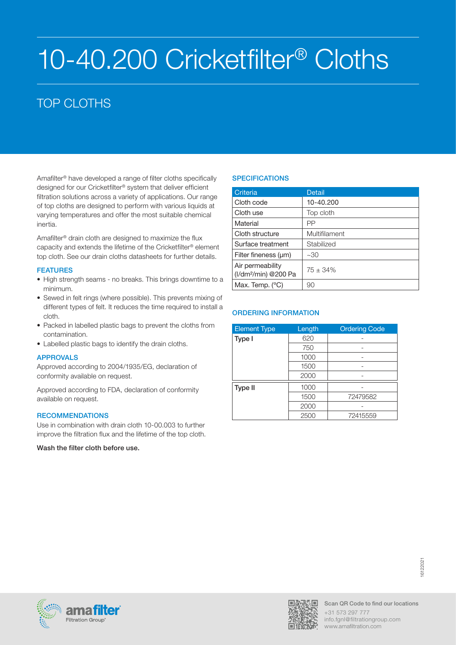# 10-40.200 Cricketfilter® Cloths

# TOP CLOTHS

Amafilter® have developed a range of filter cloths specifically designed for our Cricketfilter® system that deliver efficient filtration solutions across a variety of applications. Our range of top cloths are designed to perform with various liquids at varying temperatures and offer the most suitable chemical inertia.

Amafilter® drain cloth are designed to maximize the flux capacity and extends the lifetime of the Cricketfilter® element top cloth. See our drain cloths datasheets for further details.

### FEATURES

- High strength seams no breaks. This brings downtime to a minimum.
- Sewed in felt rings (where possible). This prevents mixing of different types of felt. It reduces the time required to install a cloth.
- Packed in labelled plastic bags to prevent the cloths from contamination.
- Labelled plastic bags to identify the drain cloths.

# APPROVALS

Approved according to 2004/1935/EG, declaration of conformity available on request.

Approved according to FDA, declaration of conformity available on request.

#### **RECOMMENDATIONS**

Use in combination with drain cloth 10-00.003 to further improve the filtration flux and the lifetime of the top cloth.

Wash the filter cloth before use.

# **SPECIFICATIONS**

| Criteria                                             | Detail        |
|------------------------------------------------------|---------------|
| Cloth code                                           | 10-40.200     |
| Cloth use                                            | Top cloth     |
| Material                                             | PP            |
| Cloth structure                                      | Multifilament |
| Surface treatment                                    | Stabilized    |
| Filter fineness (µm)                                 | ~30           |
| Air permeability<br>(I/dm <sup>2</sup> /min) @200 Pa | $75 \pm 34\%$ |
| Max. Temp. $(^{\circ}C)$                             | 90            |

| <b>Element Type</b> | Length | <b>Ordering Code</b> |
|---------------------|--------|----------------------|
| Type I              | 620    |                      |
|                     | 750    |                      |
|                     | 1000   |                      |
|                     | 1500   |                      |
|                     | 2000   |                      |
| Type II             | 1000   |                      |
|                     | 1500   | 72479582             |
|                     | 2000   |                      |
|                     | 2500   | 72415559             |



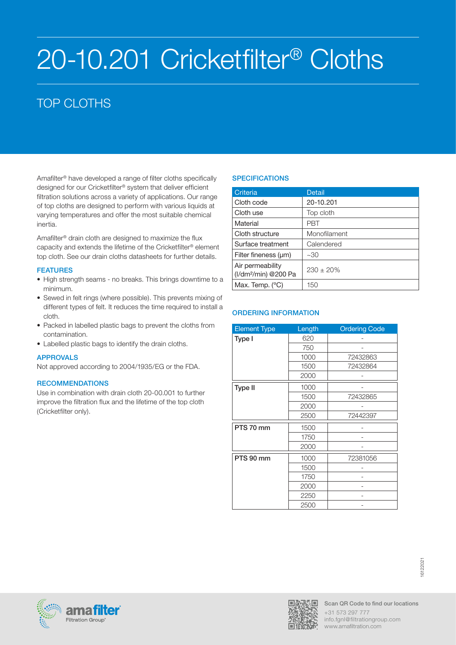# 20-10.201 Cricketfilter® Cloths

# TOP CLOTHS

Amafilter® have developed a range of filter cloths specifically designed for our Cricketfilter® system that deliver efficient filtration solutions across a variety of applications. Our range of top cloths are designed to perform with various liquids at varying temperatures and offer the most suitable chemical inertia.

Amafilter® drain cloth are designed to maximize the flux capacity and extends the lifetime of the Cricketfilter® element top cloth. See our drain cloths datasheets for further details.

# FEATURES

- High strength seams no breaks. This brings downtime to a minimum.
- Sewed in felt rings (where possible). This prevents mixing of different types of felt. It reduces the time required to install a cloth.
- Packed in labelled plastic bags to prevent the cloths from contamination.
- Labelled plastic bags to identify the drain cloths.

# APPROVALS

Not approved according to 2004/1935/EG or the FDA.

# **RECOMMENDATIONS**

Use in combination with drain cloth 20-00.001 to further improve the filtration flux and the lifetime of the top cloth (Cricketfilter only).

# **SPECIFICATIONS**

| Criteria                                             | <b>Detail</b>  |
|------------------------------------------------------|----------------|
| Cloth code                                           | 20-10.201      |
| Cloth use                                            | Top cloth      |
| Material                                             | PRT            |
| Cloth structure                                      | Monofilament   |
| Surface treatment                                    | Calendered     |
| Filter fineness (um)                                 | ~30            |
| Air permeability<br>(I/dm <sup>2</sup> /min) @200 Pa | $230 \pm 20\%$ |
| Max. Temp. $(^{\circ}C)$                             | 150            |

| <b>Element Type</b> | Length | <b>Ordering Code</b> |
|---------------------|--------|----------------------|
| Type I              | 620    |                      |
|                     | 750    |                      |
|                     | 1000   | 72432863             |
|                     | 1500   | 72432864             |
|                     | 2000   |                      |
| <b>Type II</b>      | 1000   |                      |
|                     | 1500   | 72432865             |
|                     | 2000   |                      |
|                     | 2500   | 72442397             |
| PTS 70 mm           | 1500   |                      |
|                     | 1750   |                      |
|                     | 2000   |                      |
| PTS 90 mm           | 1000   | 72381056             |
|                     | 1500   |                      |
|                     | 1750   |                      |
|                     | 2000   |                      |
|                     | 2250   |                      |
|                     | 2500   |                      |





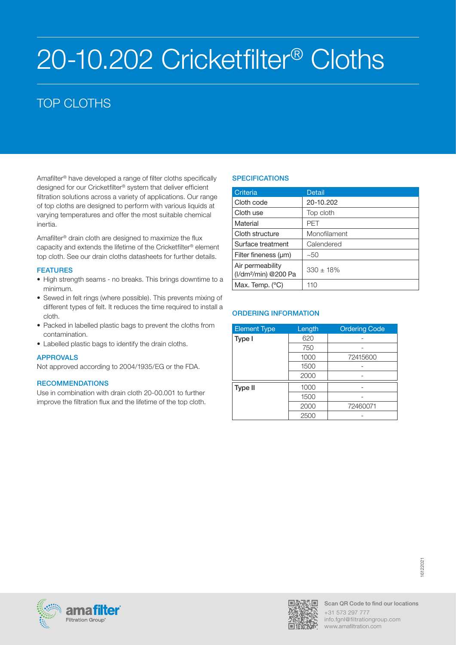# 20-10.202 Cricketfilter® Cloths

# TOP CLOTHS

Amafilter® have developed a range of filter cloths specifically designed for our Cricketfilter® system that deliver efficient filtration solutions across a variety of applications. Our range of top cloths are designed to perform with various liquids at varying temperatures and offer the most suitable chemical inertia.

Amafilter® drain cloth are designed to maximize the flux capacity and extends the lifetime of the Cricketfilter® element top cloth. See our drain cloths datasheets for further details.

### FEATURES

- High strength seams no breaks. This brings downtime to a minimum.
- Sewed in felt rings (where possible). This prevents mixing of different types of felt. It reduces the time required to install a cloth.
- Packed in labelled plastic bags to prevent the cloths from contamination.
- Labelled plastic bags to identify the drain cloths.

# APPROVALS

Not approved according to 2004/1935/EG or the FDA.

# **RECOMMENDATIONS**

Use in combination with drain cloth 20-00.001 to further improve the filtration flux and the lifetime of the top cloth.

# **SPECIFICATIONS**

| Criteria                                             | Detail         |
|------------------------------------------------------|----------------|
| Cloth code                                           | 20-10.202      |
| Cloth use                                            | Top cloth      |
| Material                                             | PFT            |
| Cloth structure                                      | Monofilament   |
| Surface treatment                                    | Calendered     |
| Filter fineness (µm)                                 | ~50            |
| Air permeability<br>(I/dm <sup>2</sup> /min) @200 Pa | $330 \pm 18\%$ |
| Max. Temp. $(^{\circ}C)$                             | 110            |

| <b>Element Type</b> | Length | <b>Ordering Code</b> |
|---------------------|--------|----------------------|
| Type I              | 620    |                      |
|                     | 750    |                      |
|                     | 1000   | 72415600             |
|                     | 1500   |                      |
|                     | 2000   |                      |
| Type II             | 1000   |                      |
|                     | 1500   |                      |
|                     | 2000   | 72460071             |
|                     | 2500   |                      |



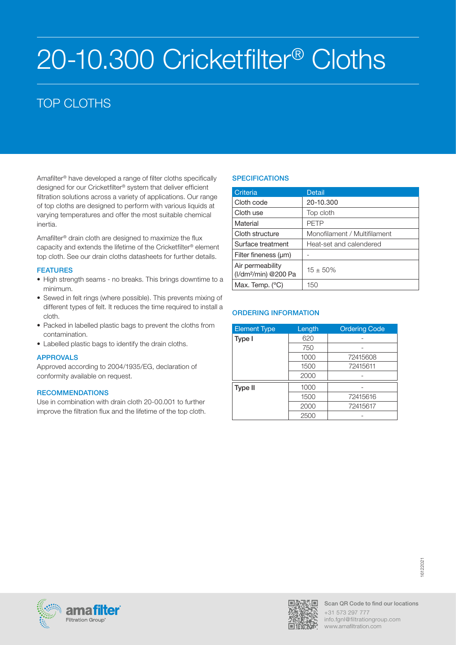# 20-10.300 Cricketfilter® Cloths

# TOP CLOTHS

Amafilter® have developed a range of filter cloths specifically designed for our Cricketfilter® system that deliver efficient filtration solutions across a variety of applications. Our range of top cloths are designed to perform with various liquids at varying temperatures and offer the most suitable chemical inertia.

Amafilter® drain cloth are designed to maximize the flux capacity and extends the lifetime of the Cricketfilter® element top cloth. See our drain cloths datasheets for further details.

# FEATURES

- High strength seams no breaks. This brings downtime to a minimum.
- Sewed in felt rings (where possible). This prevents mixing of different types of felt. It reduces the time required to install a cloth.
- Packed in labelled plastic bags to prevent the cloths from contamination.
- Labelled plastic bags to identify the drain cloths.

# APPROVALS

Approved according to 2004/1935/EG, declaration of conformity available on request.

#### **RECOMMENDATIONS**

Use in combination with drain cloth 20-00.001 to further improve the filtration flux and the lifetime of the top cloth.

# **SPECIFICATIONS**

| Criteria                                             | <b>Detail</b>                |
|------------------------------------------------------|------------------------------|
| Cloth code                                           | 20-10.300                    |
| Cloth use                                            | Top cloth                    |
| Material                                             | <b>PETP</b>                  |
| Cloth structure                                      | Monofilament / Multifilament |
| Surface treatment                                    | Heat-set and calendered      |
| Filter fineness (um)                                 |                              |
| Air permeability<br>(I/dm <sup>2</sup> /min) @200 Pa | $15 + 50%$                   |
| Max. Temp. $(^{\circ}C)$                             | 150                          |

| <b>Element Type</b> | Length | <b>Ordering Code</b> |
|---------------------|--------|----------------------|
| Type I              | 620    |                      |
|                     | 750    |                      |
|                     | 1000   | 72415608             |
|                     | 1500   | 72415611             |
|                     | 2000   |                      |
| Type II             | 1000   |                      |
|                     | 1500   | 72415616             |
|                     | 2000   | 72415617             |
|                     | 2500   |                      |



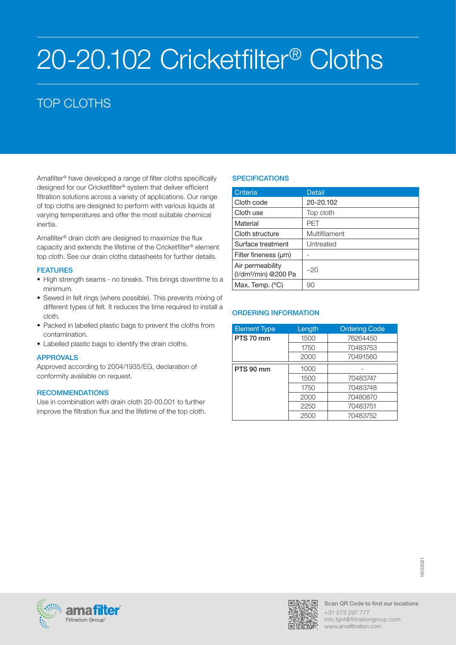# 20-20.102 Cricketfilter® Cloths

# TOP CLOTHS

Amafilter® have developed a range of filter cloths specifically designed for our Cricketfilter® system that deliver efficient filtration solutions across a variety of applications. Our range of top cloths are designed to perform with various liquids at varying temperatures and offer the most suitable chemical inertia.

Amafilter® drain cloth are designed to maximize the flux capacity and extends the lifetime of the Cricketfilter® element top cloth. See our drain cloths datasheets for further details.

### FEATURES

- High strength seams no breaks. This brings downtime to a minimum.
- Sewed in felt rings (where possible). This prevents mixing of different types of felt. It reduces the time required to install a cloth.
- Packed in labelled plastic bags to prevent the cloths from contamination.
- Labelled plastic bags to identify the drain cloths.

# APPROVALS

Approved according to 2004/1935/EG, declaration of conformity available on request.

#### **RECOMMENDATIONS**

Use in combination with drain cloth 20-00.001 to further improve the filtration flux and the lifetime of the top cloth.

# **SPECIFICATIONS**

| Criteria                                             | <b>Detail</b> |
|------------------------------------------------------|---------------|
| Cloth code                                           | 20-20.102     |
| Cloth use                                            | Top cloth     |
| Material                                             | PFT           |
| Cloth structure                                      | Multifilament |
| Surface treatment                                    | Untreated     |
| Filter fineness (um)                                 |               |
| Air permeability<br>(I/dm <sup>2</sup> /min) @200 Pa | $-20$         |
| Max. Temp. $(^{\circ}C)$                             | 90            |

| <b>Element Type</b> | Length | <b>Ordering Code</b> |
|---------------------|--------|----------------------|
| PTS 70 mm           | 1500   | 76264450             |
|                     | 1750   | 70483753             |
|                     | 2000   | 70491560             |
| PTS 90 mm           | 1000   |                      |
|                     | 1500   | 70483747             |
|                     | 1750   | 70483748             |
|                     | 2000   | 70480870             |
|                     | 2250   | 70483751             |
|                     | 2500   | 70483752             |



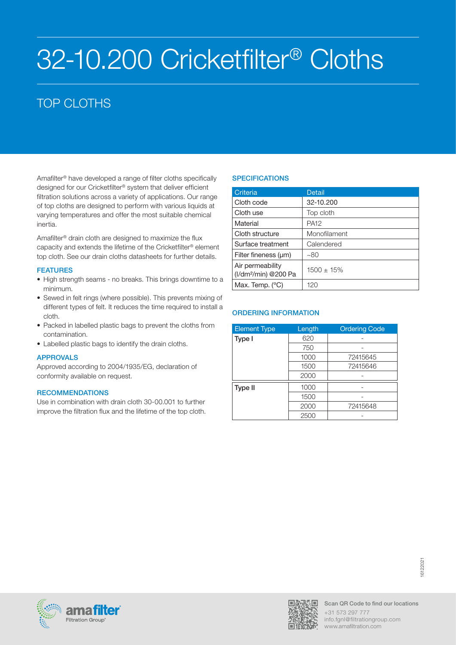# 32-10.200 Cricketfilter® Cloths

# TOP CLOTHS

Amafilter® have developed a range of filter cloths specifically designed for our Cricketfilter® system that deliver efficient filtration solutions across a variety of applications. Our range of top cloths are designed to perform with various liquids at varying temperatures and offer the most suitable chemical inertia.

Amafilter® drain cloth are designed to maximize the flux capacity and extends the lifetime of the Cricketfilter® element top cloth. See our drain cloths datasheets for further details.

### FEATURES

- High strength seams no breaks. This brings downtime to a minimum.
- Sewed in felt rings (where possible). This prevents mixing of different types of felt. It reduces the time required to install a cloth.
- Packed in labelled plastic bags to prevent the cloths from contamination.
- Labelled plastic bags to identify the drain cloths.

# APPROVALS

Approved according to 2004/1935/EG, declaration of conformity available on request.

#### **RECOMMENDATIONS**

Use in combination with drain cloth 30-00.001 to further improve the filtration flux and the lifetime of the top cloth.

# **SPECIFICATIONS**

| Criteria                                             | <b>Detail</b>   |
|------------------------------------------------------|-----------------|
| Cloth code                                           | 32-10.200       |
| Cloth use                                            | Top cloth       |
| Material                                             | <b>PA12</b>     |
| Cloth structure                                      | Monofilament    |
| Surface treatment                                    | Calendered      |
| Filter fineness (um)                                 | ~80             |
| Air permeability<br>(I/dm <sup>2</sup> /min) @200 Pa | $1500 \pm 15\%$ |
| Max. Temp. $(^{\circ}C)$                             | 120             |

| <b>Element Type</b> | Length | <b>Ordering Code</b> |
|---------------------|--------|----------------------|
| Type I              | 620    |                      |
|                     | 750    |                      |
|                     | 1000   | 72415645             |
|                     | 1500   | 72415646             |
|                     | 2000   |                      |
| Type II             | 1000   |                      |
|                     | 1500   |                      |
|                     | 2000   | 72415648             |
|                     | 2500   |                      |



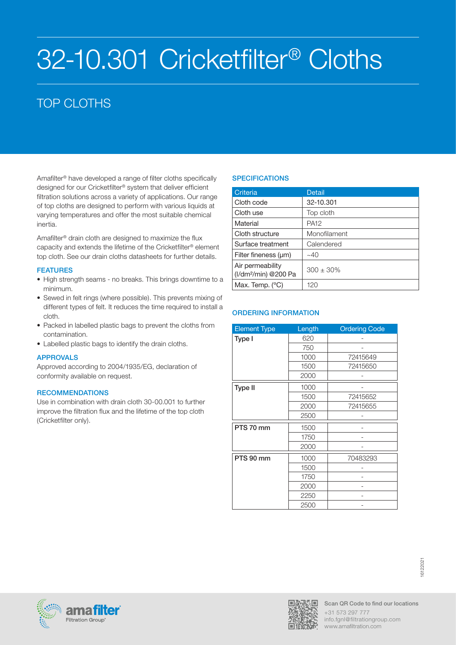# 32-10.301 Cricketfilter® Cloths

# TOP CLOTHS

Amafilter® have developed a range of filter cloths specifically designed for our Cricketfilter® system that deliver efficient filtration solutions across a variety of applications. Our range of top cloths are designed to perform with various liquids at varying temperatures and offer the most suitable chemical inertia.

Amafilter® drain cloth are designed to maximize the flux capacity and extends the lifetime of the Cricketfilter® element top cloth. See our drain cloths datasheets for further details.

# FEATURES

- High strength seams no breaks. This brings downtime to a minimum.
- Sewed in felt rings (where possible). This prevents mixing of different types of felt. It reduces the time required to install a cloth.
- Packed in labelled plastic bags to prevent the cloths from contamination.
- Labelled plastic bags to identify the drain cloths.

# APPROVALS

Approved according to 2004/1935/EG, declaration of conformity available on request.

# **RECOMMENDATIONS**

Use in combination with drain cloth 30-00.001 to further improve the filtration flux and the lifetime of the top cloth (Cricketfilter only).

# **SPECIFICATIONS**

| Criteria                                             | <b>Detail</b>    |
|------------------------------------------------------|------------------|
| Cloth code                                           | 32-10.301        |
| Cloth use                                            | Top cloth        |
| Material                                             | PA <sub>12</sub> |
| Cloth structure                                      | Monofilament     |
| Surface treatment                                    | Calendered       |
| Filter fineness (um)                                 | $~1 - 40$        |
| Air permeability<br>(I/dm <sup>2</sup> /min) @200 Pa | $300 \pm 30\%$   |
| Max. Temp. $(^{\circ}C)$                             | 120              |

| <b>Element Type</b> | Length | <b>Ordering Code</b> |
|---------------------|--------|----------------------|
| Type I              | 620    |                      |
|                     | 750    |                      |
|                     | 1000   | 72415649             |
|                     | 1500   | 72415650             |
|                     | 2000   |                      |
| <b>Type II</b>      | 1000   |                      |
|                     | 1500   | 72415652             |
|                     | 2000   | 72415655             |
|                     | 2500   |                      |
| PTS 70 mm           | 1500   |                      |
|                     | 1750   |                      |
|                     | 2000   |                      |
| PTS 90 mm           | 1000   | 70483293             |
|                     | 1500   |                      |
|                     | 1750   |                      |
|                     | 2000   |                      |
|                     | 2250   |                      |
|                     | 2500   |                      |





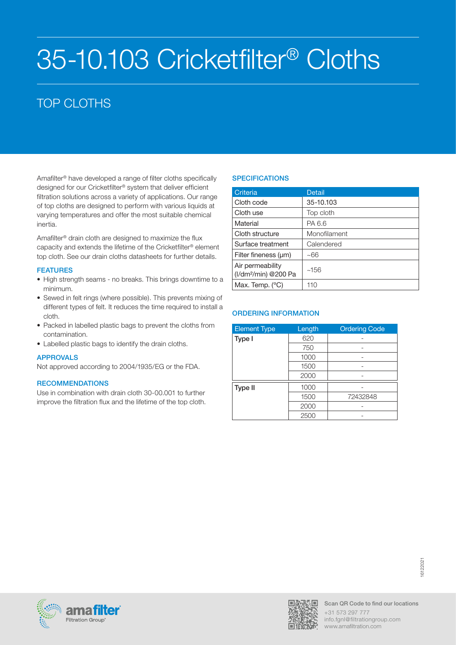# 35-10.103 Cricketfilter® Cloths

# TOP CLOTHS

Amafilter® have developed a range of filter cloths specifically designed for our Cricketfilter® system that deliver efficient filtration solutions across a variety of applications. Our range of top cloths are designed to perform with various liquids at varying temperatures and offer the most suitable chemical inertia.

Amafilter® drain cloth are designed to maximize the flux capacity and extends the lifetime of the Cricketfilter® element top cloth. See our drain cloths datasheets for further details.

### FEATURES

- High strength seams no breaks. This brings downtime to a minimum.
- Sewed in felt rings (where possible). This prevents mixing of different types of felt. It reduces the time required to install a cloth.
- Packed in labelled plastic bags to prevent the cloths from contamination.
- Labelled plastic bags to identify the drain cloths.

# APPROVALS

Not approved according to 2004/1935/EG or the FDA.

# **RECOMMENDATIONS**

Use in combination with drain cloth 30-00.001 to further improve the filtration flux and the lifetime of the top cloth.

# **SPECIFICATIONS**

| Criteria                                             | Detail       |
|------------------------------------------------------|--------------|
| Cloth code                                           | 35-10.103    |
| Cloth use                                            | Top cloth    |
| Material                                             | PA 6.6       |
| Cloth structure                                      | Monofilament |
| Surface treatment                                    | Calendered   |
| Filter fineness (µm)                                 | ~66          |
| Air permeability<br>(I/dm <sup>2</sup> /min) @200 Pa | ~156         |
| Max. Temp. (°C)                                      | 110          |

| <b>Element Type</b> | Length | <b>Ordering Code</b> |
|---------------------|--------|----------------------|
| Type I              | 620    |                      |
|                     | 750    |                      |
|                     | 1000   |                      |
|                     | 1500   |                      |
|                     | 2000   |                      |
| Type II             | 1000   |                      |
|                     | 1500   | 72432848             |
|                     | 2000   |                      |
|                     | 2500   |                      |



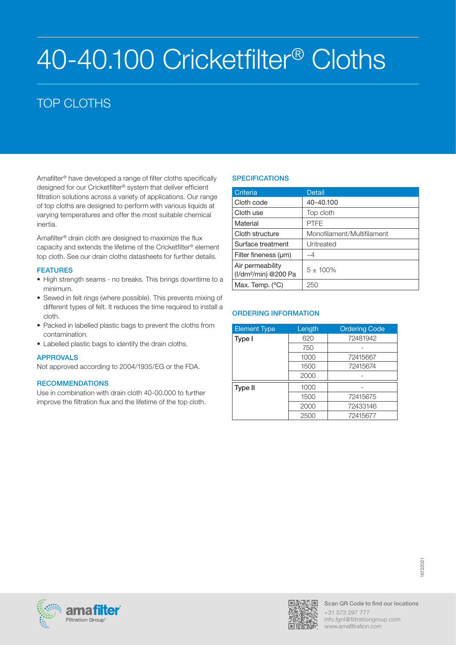# 40-40.100 Cricketfilter® Cloths

# TOP CLOTHS

Amafilter® have developed a range of filter cloths specifically designed for our Cricketfilter® system that deliver efficient filtration solutions across a variety of applications. Our range of top cloths are designed to perform with various liquids at varying temperatures and offer the most suitable chemical inertia.

Amafilter® drain cloth are designed to maximize the flux capacity and extends the lifetime of the Cricketfilter® element top cloth. See our drain cloths datasheets for further details.

### FEATURES

- High strength seams no breaks. This brings downtime to a minimum.
- Sewed in felt rings (where possible). This prevents mixing of different types of felt. It reduces the time required to install a cloth.
- Packed in labelled plastic bags to prevent the cloths from contamination.
- Labelled plastic bags to identify the drain cloths.

# APPROVALS

Not approved according to 2004/1935/EG or the FDA.

# **RECOMMENDATIONS**

Use in combination with drain cloth 40-00.000 to further improve the filtration flux and the lifetime of the top cloth.

# **SPECIFICATIONS**

| Criteria                                             | <b>Detail</b>              |
|------------------------------------------------------|----------------------------|
| Cloth code                                           | 40-40.100                  |
| Cloth use                                            | Top cloth                  |
| Material                                             | <b>PTFE</b>                |
| Cloth structure                                      | Monofilament/Multifilament |
| Surface treatment                                    | Untreated                  |
| Filter fineness (um)                                 | $\sim\!\!4$                |
| Air permeability<br>(I/dm <sup>2</sup> /min) @200 Pa | $5 + 100\%$                |
| Max. Temp. $(^{\circ}C)$                             | 250                        |

| <b>Element Type</b> | Length | <b>Ordering Code</b> |
|---------------------|--------|----------------------|
| Type I              | 620    | 72481942             |
|                     | 750    |                      |
|                     | 1000   | 72415667             |
|                     | 1500   | 72415674             |
|                     | 2000   |                      |
| Type II             | 1000   |                      |
|                     | 1500   | 72415675             |
|                     | 2000   | 72433146             |
|                     | 2500   | 72415677             |



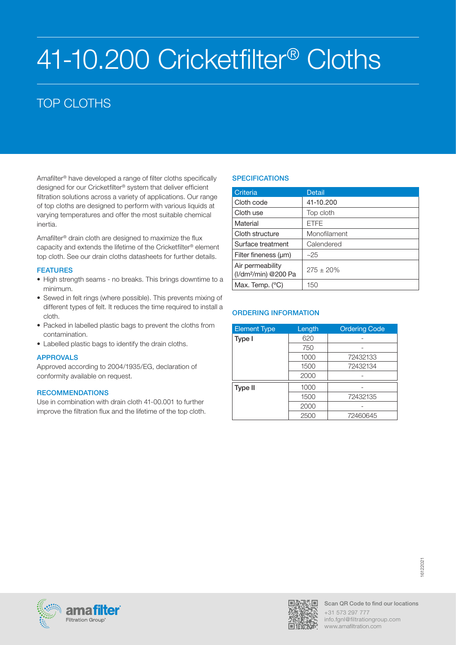# 41-10.200 Cricketfilter® Cloths

# TOP CLOTHS

Amafilter® have developed a range of filter cloths specifically designed for our Cricketfilter® system that deliver efficient filtration solutions across a variety of applications. Our range of top cloths are designed to perform with various liquids at varying temperatures and offer the most suitable chemical inertia.

Amafilter® drain cloth are designed to maximize the flux capacity and extends the lifetime of the Cricketfilter® element top cloth. See our drain cloths datasheets for further details.

### FEATURES

- High strength seams no breaks. This brings downtime to a minimum.
- Sewed in felt rings (where possible). This prevents mixing of different types of felt. It reduces the time required to install a cloth.
- Packed in labelled plastic bags to prevent the cloths from contamination.
- Labelled plastic bags to identify the drain cloths.

# APPROVALS

Approved according to 2004/1935/EG, declaration of conformity available on request.

#### **RECOMMENDATIONS**

Use in combination with drain cloth 41-00.001 to further improve the filtration flux and the lifetime of the top cloth.

# **SPECIFICATIONS**

| Criteria                                             | <b>Detail</b> |
|------------------------------------------------------|---------------|
| Cloth code                                           | 41-10.200     |
| Cloth use                                            | Top cloth     |
| Material                                             | <b>FTFF</b>   |
| Cloth structure                                      | Monofilament  |
| Surface treatment                                    | Calendered    |
| Filter fineness (um)                                 | ~25           |
| Air permeability<br>(I/dm <sup>2</sup> /min) @200 Pa | $275 + 20%$   |
| Max. Temp. $(^{\circ}C)$                             | 150           |

| <b>Element Type</b> | Length | <b>Ordering Code</b> |
|---------------------|--------|----------------------|
| Type I              | 620    |                      |
|                     | 750    |                      |
|                     | 1000   | 72432133             |
|                     | 1500   | 72432134             |
|                     | 2000   |                      |
| Type II             | 1000   |                      |
|                     | 1500   | 72432135             |
|                     | 2000   |                      |
|                     | 2500   | 72460645             |



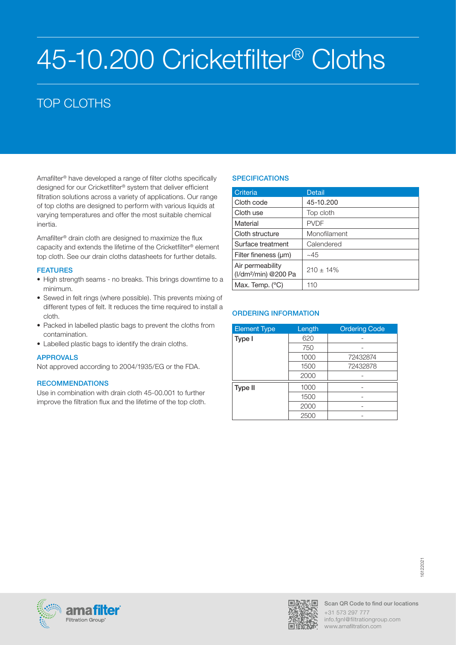# 45-10.200 Cricketfilter® Cloths

# TOP CLOTHS

Amafilter® have developed a range of filter cloths specifically designed for our Cricketfilter® system that deliver efficient filtration solutions across a variety of applications. Our range of top cloths are designed to perform with various liquids at varying temperatures and offer the most suitable chemical inertia.

Amafilter® drain cloth are designed to maximize the flux capacity and extends the lifetime of the Cricketfilter® element top cloth. See our drain cloths datasheets for further details.

### FEATURES

- High strength seams no breaks. This brings downtime to a minimum.
- Sewed in felt rings (where possible). This prevents mixing of different types of felt. It reduces the time required to install a cloth.
- Packed in labelled plastic bags to prevent the cloths from contamination.
- Labelled plastic bags to identify the drain cloths.

# APPROVALS

Not approved according to 2004/1935/EG or the FDA.

# **RECOMMENDATIONS**

Use in combination with drain cloth 45-00.001 to further improve the filtration flux and the lifetime of the top cloth.

# **SPECIFICATIONS**

| Criteria                                             | Detail         |
|------------------------------------------------------|----------------|
| Cloth code                                           | 45-10.200      |
| Cloth use                                            | Top cloth      |
| Material                                             | <b>PVDF</b>    |
| Cloth structure                                      | Monofilament   |
| Surface treatment                                    | Calendered     |
| Filter fineness (µm)                                 | ~145           |
| Air permeability<br>(I/dm <sup>2</sup> /min) @200 Pa | $210 \pm 14\%$ |
| Max. Temp. $(^{\circ}C)$                             | 110            |

| <b>Element Type</b> | Length | <b>Ordering Code</b> |
|---------------------|--------|----------------------|
| Type I              | 620    |                      |
|                     | 750    |                      |
|                     | 1000   | 72432874             |
|                     | 1500   | 72432878             |
|                     | 2000   |                      |
| Type II             | 1000   |                      |
|                     | 1500   |                      |
|                     | 2000   |                      |
|                     | 2500   |                      |



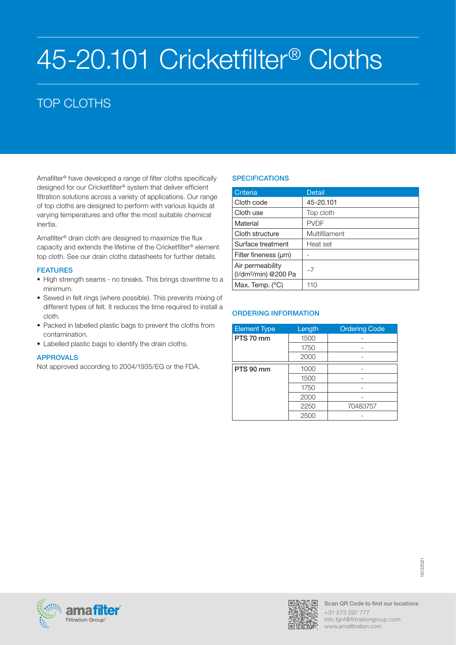# 45-20.101 Cricketfilter® Cloths

# TOP CLOTHS

Amafilter® have developed a range of filter cloths specifically designed for our Cricketfilter® system that deliver efficient filtration solutions across a variety of applications. Our range of top cloths are designed to perform with various liquids at varying temperatures and offer the most suitable chemical inertia.

Amafilter® drain cloth are designed to maximize the flux capacity and extends the lifetime of the Cricketfilter® element top cloth. See our drain cloths datasheets for further details.

### **FEATURES**

- High strength seams no breaks. This brings downtime to a minimum.
- Sewed in felt rings (where possible). This prevents mixing of different types of felt. It reduces the time required to install a cloth.
- Packed in labelled plastic bags to prevent the cloths from contamination.
- Labelled plastic bags to identify the drain cloths.

# APPROVALS

Not approved according to 2004/1935/EG or the FDA.

# **SPECIFICATIONS**

| Criteria                                             | Detail        |
|------------------------------------------------------|---------------|
| Cloth code                                           | 45-20.101     |
| Cloth use                                            | Top cloth     |
| Material                                             | <b>PVDF</b>   |
| Cloth structure                                      | Multifilament |
| Surface treatment                                    | Heat set      |
| Filter fineness (um)                                 |               |
| Air permeability<br>(I/dm <sup>2</sup> /min) @200 Pa | $\sim$ 7      |
| Max. Temp. $(^{\circ}C)$                             | 110           |

| <b>Element Type</b> | Length | <b>Ordering Code</b> |
|---------------------|--------|----------------------|
| PTS 70 mm           | 1500   |                      |
|                     | 1750   |                      |
|                     | 2000   |                      |
| PTS 90 mm           | 1000   |                      |
|                     | 1500   |                      |
|                     | 1750   |                      |
|                     | 2000   |                      |
|                     | 2250   | 70483757             |
|                     | 2500   |                      |



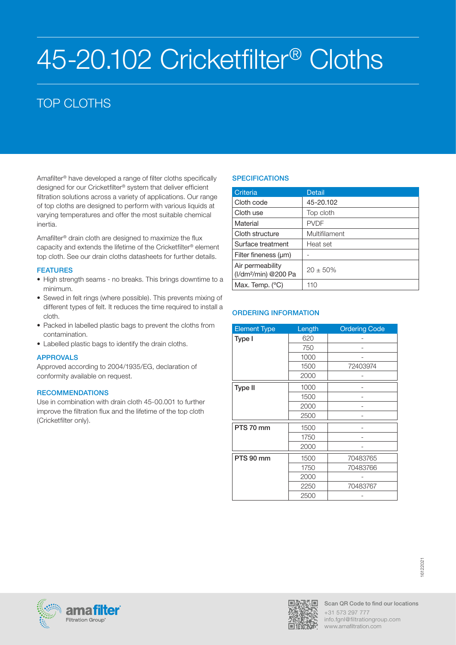# 45-20.102 Cricketfilter® Cloths

# TOP CLOTHS

Amafilter® have developed a range of filter cloths specifically designed for our Cricketfilter® system that deliver efficient filtration solutions across a variety of applications. Our range of top cloths are designed to perform with various liquids at varying temperatures and offer the most suitable chemical inertia.

Amafilter® drain cloth are designed to maximize the flux capacity and extends the lifetime of the Cricketfilter® element top cloth. See our drain cloths datasheets for further details.

### **FEATURES**

- High strength seams no breaks. This brings downtime to a minimum.
- Sewed in felt rings (where possible). This prevents mixing of different types of felt. It reduces the time required to install a cloth.
- Packed in labelled plastic bags to prevent the cloths from contamination.
- Labelled plastic bags to identify the drain cloths.

# APPROVALS

Approved according to 2004/1935/EG, declaration of conformity available on request.

#### **RECOMMENDATIONS**

Use in combination with drain cloth 45-00.001 to further improve the filtration flux and the lifetime of the top cloth (Cricketfilter only).

# **SPECIFICATIONS**

| Criteria                                             | <b>Detail</b> |
|------------------------------------------------------|---------------|
| Cloth code                                           | 45-20.102     |
| Cloth use                                            | Top cloth     |
| Material                                             | <b>PVDF</b>   |
| Cloth structure                                      | Multifilament |
| Surface treatment                                    | Heat set      |
| Filter fineness (um)                                 |               |
| Air permeability<br>(I/dm <sup>2</sup> /min) @200 Pa | $20 + 50%$    |
| Max. Temp. $(^{\circ}C)$                             | 110           |

| <b>Element Type</b> | Length | <b>Ordering Code</b> |
|---------------------|--------|----------------------|
| Type I              | 620    |                      |
|                     | 750    |                      |
|                     | 1000   |                      |
|                     | 1500   | 72403974             |
|                     | 2000   |                      |
| <b>Type II</b>      | 1000   |                      |
|                     | 1500   |                      |
|                     | 2000   |                      |
|                     | 2500   |                      |
| PTS 70 mm           | 1500   |                      |
|                     | 1750   |                      |
|                     | 2000   |                      |
| PTS 90 mm           | 1500   | 70483765             |
|                     | 1750   | 70483766             |
|                     | 2000   |                      |
|                     | 2250   | 70483767             |
|                     | 2500   |                      |





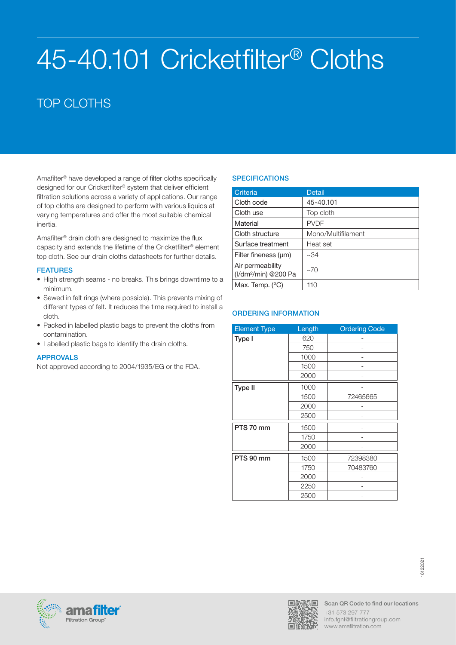# 45-40.101 Cricketfilter® Cloths

# TOP CLOTHS

Amafilter® have developed a range of filter cloths specifically designed for our Cricketfilter® system that deliver efficient filtration solutions across a variety of applications. Our range of top cloths are designed to perform with various liquids at varying temperatures and offer the most suitable chemical inertia.

Amafilter® drain cloth are designed to maximize the flux capacity and extends the lifetime of the Cricketfilter® element top cloth. See our drain cloths datasheets for further details.

# **FEATURES**

- High strength seams no breaks. This brings downtime to a minimum.
- Sewed in felt rings (where possible). This prevents mixing of different types of felt. It reduces the time required to install a cloth.
- Packed in labelled plastic bags to prevent the cloths from contamination.
- Labelled plastic bags to identify the drain cloths.

# APPROVALS

Not approved according to 2004/1935/EG or the FDA.

# **SPECIFICATIONS**

| Criteria                                             | <b>Detail</b>      |
|------------------------------------------------------|--------------------|
| Cloth code                                           | 45-40.101          |
| Cloth use                                            | Top cloth          |
| Material                                             | <b>PVDF</b>        |
| Cloth structure                                      | Mono/Multifilament |
| Surface treatment                                    | Heat set           |
| Filter fineness (um)                                 | ~1.34              |
| Air permeability<br>(I/dm <sup>2</sup> /min) @200 Pa | $-70$              |
| Max. Temp. $(^{\circ}C)$                             | 110                |

| <b>Element Type</b> | Length | <b>Ordering Code</b> |
|---------------------|--------|----------------------|
| Type I              | 620    |                      |
|                     | 750    |                      |
|                     | 1000   |                      |
|                     | 1500   |                      |
|                     | 2000   |                      |
| <b>Type II</b>      | 1000   |                      |
|                     | 1500   | 72465665             |
|                     | 2000   |                      |
|                     | 2500   |                      |
| PTS 70 mm           | 1500   |                      |
|                     | 1750   |                      |
|                     | 2000   |                      |
| PTS 90 mm           | 1500   | 72398380             |
|                     | 1750   | 70483760             |
|                     | 2000   |                      |
|                     | 2250   |                      |
|                     | 2500   |                      |





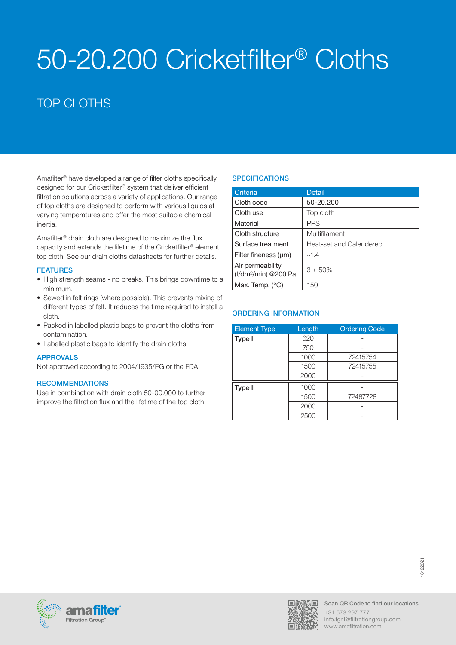# 50-20.200 Cricketfilter® Cloths

# TOP CLOTHS

Amafilter® have developed a range of filter cloths specifically designed for our Cricketfilter® system that deliver efficient filtration solutions across a variety of applications. Our range of top cloths are designed to perform with various liquids at varying temperatures and offer the most suitable chemical inertia.

Amafilter® drain cloth are designed to maximize the flux capacity and extends the lifetime of the Cricketfilter® element top cloth. See our drain cloths datasheets for further details.

### **FEATURES**

- High strength seams no breaks. This brings downtime to a minimum.
- Sewed in felt rings (where possible). This prevents mixing of different types of felt. It reduces the time required to install a cloth.
- Packed in labelled plastic bags to prevent the cloths from contamination.
- Labelled plastic bags to identify the drain cloths.

# APPROVALS

Not approved according to 2004/1935/EG or the FDA.

# **RECOMMENDATIONS**

Use in combination with drain cloth 50-00.000 to further improve the filtration flux and the lifetime of the top cloth.

# **SPECIFICATIONS**

| Criteria                                             | <b>Detail</b>           |
|------------------------------------------------------|-------------------------|
| Cloth code                                           | 50-20.200               |
| Cloth use                                            | Top cloth               |
| Material                                             | <b>PPS</b>              |
| Cloth structure                                      | Multifilament           |
| Surface treatment                                    | Heat-set and Calendered |
| Filter fineness (um)                                 | $-1.4$                  |
| Air permeability<br>(I/dm <sup>2</sup> /min) @200 Pa | $3 + 50\%$              |
| Max. Temp. $(^{\circ}C)$                             | 150                     |

| <b>Element Type</b> | Length | <b>Ordering Code</b> |
|---------------------|--------|----------------------|
| Type I              | 620    |                      |
|                     | 750    |                      |
|                     | 1000   | 72415754             |
|                     | 1500   | 72415755             |
|                     | 2000   |                      |
| Type II             | 1000   |                      |
|                     | 1500   | 72487728             |
|                     | 2000   |                      |
|                     | 2500   |                      |



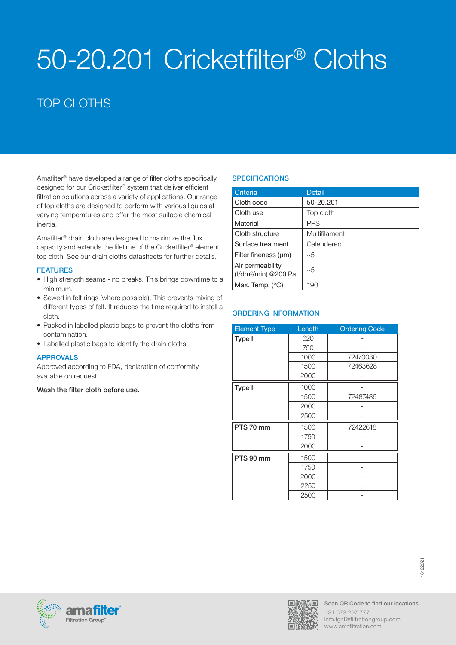# 50-20.201 Cricketfilter® Cloths

# TOP CLOTHS

Amafilter® have developed a range of filter cloths specifically designed for our Cricketfilter® system that deliver efficient filtration solutions across a variety of applications. Our range of top cloths are designed to perform with various liquids at varying temperatures and offer the most suitable chemical inertia.

Amafilter® drain cloth are designed to maximize the flux capacity and extends the lifetime of the Cricketfilter® element top cloth. See our drain cloths datasheets for further details.

# **FEATURES**

- High strength seams no breaks. This brings downtime to a minimum.
- Sewed in felt rings (where possible). This prevents mixing of different types of felt. It reduces the time required to install a cloth.
- Packed in labelled plastic bags to prevent the cloths from contamination.
- Labelled plastic bags to identify the drain cloths.

# APPROVALS

Approved according to FDA, declaration of conformity available on request.

#### Wash the filter cloth before use.

# **SPECIFICATIONS**

| Criteria                                             | Detail        |
|------------------------------------------------------|---------------|
| Cloth code                                           | 50-20.201     |
| Cloth use                                            | Top cloth     |
| Material                                             | <b>PPS</b>    |
| Cloth structure                                      | Multifilament |
| Surface treatment                                    | Calendered    |
| Filter fineness $(\mu m)$                            | ~5            |
| Air permeability<br>(I/dm <sup>2</sup> /min) @200 Pa | ~1            |
| Max. Temp. (°C)                                      | 190           |

| <b>Element Type</b> | Length | <b>Ordering Code</b> |
|---------------------|--------|----------------------|
| Type I              | 620    |                      |
|                     | 750    |                      |
|                     | 1000   | 72470030             |
|                     | 1500   | 72463628             |
|                     | 2000   |                      |
| <b>Type II</b>      | 1000   |                      |
|                     | 1500   | 72487486             |
|                     | 2000   |                      |
|                     | 2500   |                      |
| PTS 70 mm           | 1500   | 72422618             |
|                     | 1750   |                      |
|                     | 2000   |                      |
| PTS 90 mm           | 1500   |                      |
|                     | 1750   |                      |
|                     | 2000   |                      |
|                     | 2250   |                      |
|                     | 2500   |                      |





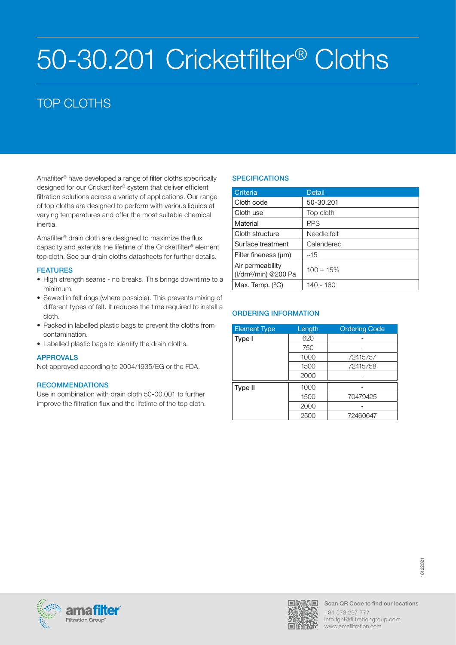# 50-30.201 Cricketfilter® Cloths

# TOP CLOTHS

Amafilter® have developed a range of filter cloths specifically designed for our Cricketfilter® system that deliver efficient filtration solutions across a variety of applications. Our range of top cloths are designed to perform with various liquids at varying temperatures and offer the most suitable chemical inertia.

Amafilter® drain cloth are designed to maximize the flux capacity and extends the lifetime of the Cricketfilter® element top cloth. See our drain cloths datasheets for further details.

# **FEATURES**

- High strength seams no breaks. This brings downtime to a minimum.
- Sewed in felt rings (where possible). This prevents mixing of different types of felt. It reduces the time required to install a cloth.
- Packed in labelled plastic bags to prevent the cloths from contamination.
- Labelled plastic bags to identify the drain cloths.

# APPROVALS

Not approved according to 2004/1935/EG or the FDA.

# **RECOMMENDATIONS**

Use in combination with drain cloth 50-00.001 to further improve the filtration flux and the lifetime of the top cloth.

# **SPECIFICATIONS**

| Criteria                                             | <b>Detail</b>  |
|------------------------------------------------------|----------------|
| Cloth code                                           | 50-30.201      |
| Cloth use                                            | Top cloth      |
| Material                                             | <b>PPS</b>     |
| Cloth structure                                      | Needle felt    |
| Surface treatment                                    | Calendered     |
| Filter fineness $(\mu m)$                            | ~15            |
| Air permeability<br>(I/dm <sup>2</sup> /min) @200 Pa | $100 \pm 15\%$ |
| Max. Temp. $(^{\circ}C)$                             | 140 - 160      |

| <b>Element Type</b> | Length | <b>Ordering Code</b> |
|---------------------|--------|----------------------|
| Type I              | 620    |                      |
|                     | 750    |                      |
|                     | 1000   | 72415757             |
|                     | 1500   | 72415758             |
|                     | 2000   |                      |
| Type II             | 1000   |                      |
|                     | 1500   | 70479425             |
|                     | 2000   |                      |
|                     | 2500   | 72460647             |